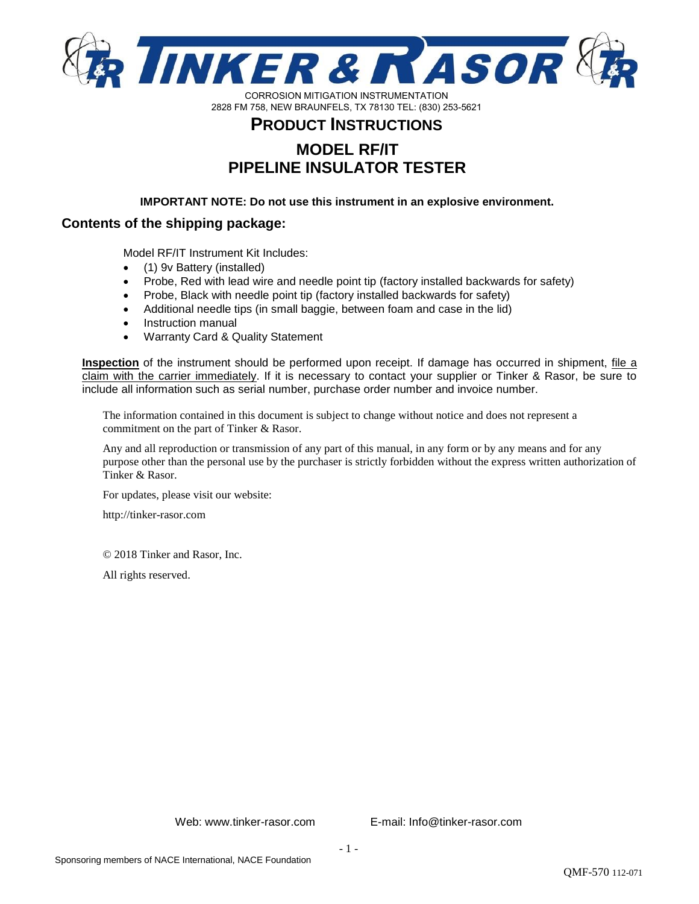

# **PRODUCT INSTRUCTIONS MODEL RF/IT PIPELINE INSULATOR TESTER**

**IMPORTANT NOTE: Do not use this instrument in an explosive environment.** 

# **Contents of the shipping package:**

Model RF/IT Instrument Kit Includes:

- (1) 9v Battery (installed)
- Probe, Red with lead wire and needle point tip (factory installed backwards for safety)
- Probe, Black with needle point tip (factory installed backwards for safety)
- Additional needle tips (in small baggie, between foam and case in the lid)
- Instruction manual
- Warranty Card & Quality Statement

**Inspection** of the instrument should be performed upon receipt. If damage has occurred in shipment, *file a* claim with the carrier immediately. If it is necessary to contact your supplier or Tinker & Rasor, be sure to include all information such as serial number, purchase order number and invoice number.

The information contained in this document is subject to change without notice and does not represent a commitment on the part of Tinker & Rasor.

Any and all reproduction or transmission of any part of this manual, in any form or by any means and for any purpose other than the personal use by the purchaser is strictly forbidden without the express written authorization of Tinker & Rasor.

For updates, please visit our website:

http://tinker-rasor.com

© 2018 Tinker and Rasor, Inc.

All rights reserved.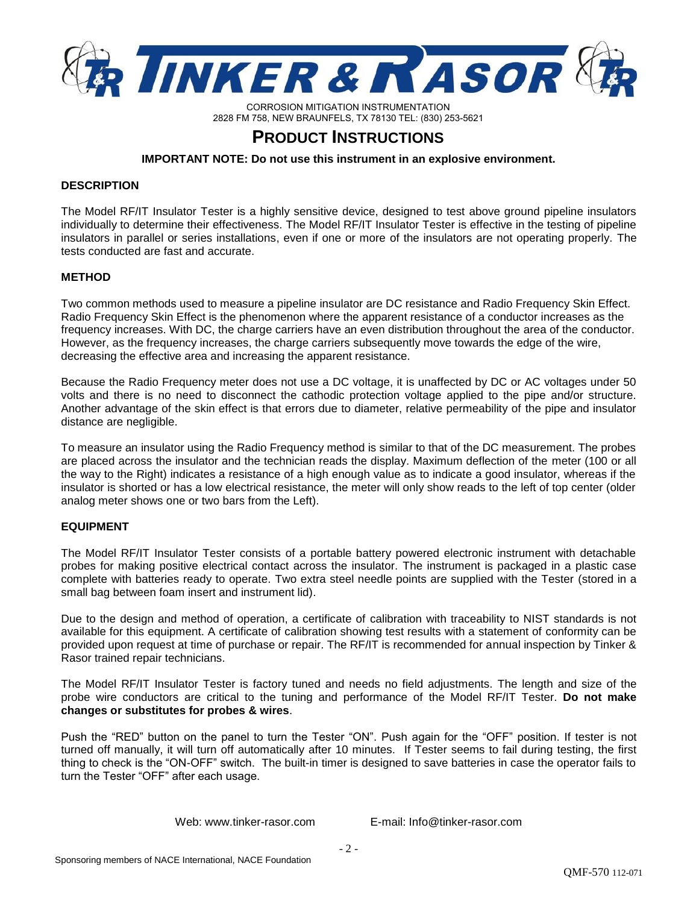

# **PRODUCT INSTRUCTIONS**

**IMPORTANT NOTE: Do not use this instrument in an explosive environment.** 

#### **DESCRIPTION**

The Model RF/IT Insulator Tester is a highly sensitive device, designed to test above ground pipeline insulators individually to determine their effectiveness. The Model RF/IT Insulator Tester is effective in the testing of pipeline insulators in parallel or series installations, even if one or more of the insulators are not operating properly. The tests conducted are fast and accurate.

### **METHOD**

Two common methods used to measure a pipeline insulator are DC resistance and Radio Frequency Skin Effect. Radio Frequency Skin Effect is the phenomenon where the apparent resistance of a conductor increases as the frequency increases. With DC, the charge carriers have an even distribution throughout the area of the conductor. However, as the frequency increases, the charge carriers subsequently move towards the edge of the wire, decreasing the effective area and increasing the apparent resistance.

Because the Radio Frequency meter does not use a DC voltage, it is unaffected by DC or AC voltages under 50 volts and there is no need to disconnect the cathodic protection voltage applied to the pipe and/or structure. Another advantage of the skin effect is that errors due to diameter, relative permeability of the pipe and insulator distance are negligible.

To measure an insulator using the Radio Frequency method is similar to that of the DC measurement. The probes are placed across the insulator and the technician reads the display. Maximum deflection of the meter (100 or all the way to the Right) indicates a resistance of a high enough value as to indicate a good insulator, whereas if the insulator is shorted or has a low electrical resistance, the meter will only show reads to the left of top center (older analog meter shows one or two bars from the Left).

## **EQUIPMENT**

The Model RF/IT Insulator Tester consists of a portable battery powered electronic instrument with detachable probes for making positive electrical contact across the insulator. The instrument is packaged in a plastic case complete with batteries ready to operate. Two extra steel needle points are supplied with the Tester (stored in a small bag between foam insert and instrument lid).

Due to the design and method of operation, a certificate of calibration with traceability to NIST standards is not available for this equipment. A certificate of calibration showing test results with a statement of conformity can be provided upon request at time of purchase or repair. The RF/IT is recommended for annual inspection by Tinker & Rasor trained repair technicians.

The Model RF/IT Insulator Tester is factory tuned and needs no field adjustments. The length and size of the probe wire conductors are critical to the tuning and performance of the Model RF/IT Tester. **Do not make changes or substitutes for probes & wires**.

Push the "RED" button on the panel to turn the Tester "ON". Push again for the "OFF" position. If tester is not turned off manually, it will turn off automatically after 10 minutes. If Tester seems to fail during testing, the first thing to check is the "ON-OFF" switch. The built-in timer is designed to save batteries in case the operator fails to turn the Tester "OFF" after each usage.

Web: www.tinker-rasor.com E-mail: Info@tinker-rasor.com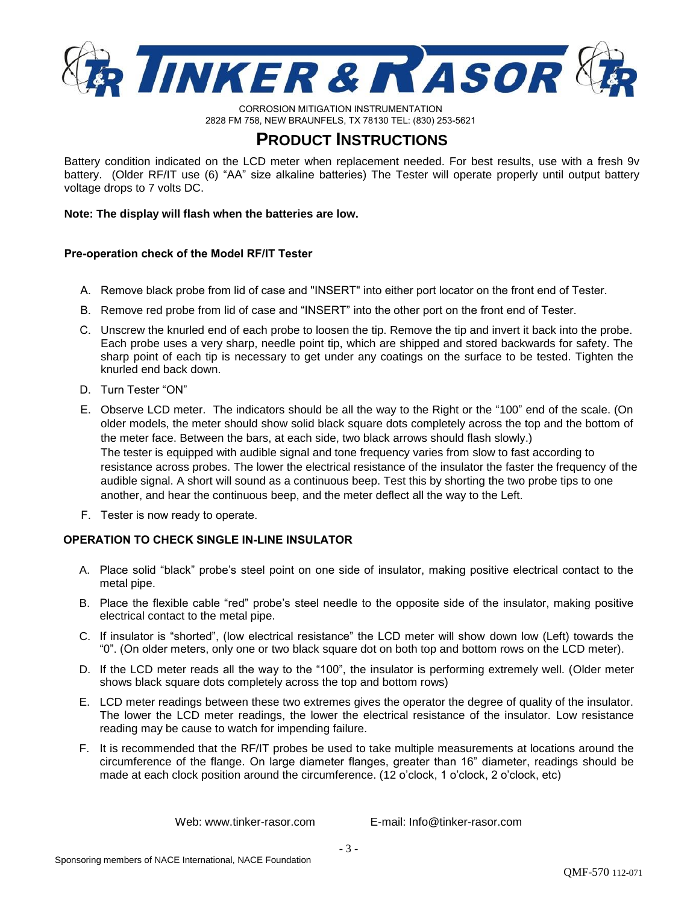

# **PRODUCT INSTRUCTIONS**

Battery condition indicated on the LCD meter when replacement needed. For best results, use with a fresh 9v battery. (Older RF/IT use (6) "AA" size alkaline batteries) The Tester will operate properly until output battery voltage drops to 7 volts DC.

**Note: The display will flash when the batteries are low.**

### **Pre-operation check of the Model RF/IT Tester**

- A. Remove black probe from lid of case and "INSERT" into either port locator on the front end of Tester.
- B. Remove red probe from lid of case and "INSERT" into the other port on the front end of Tester.
- C. Unscrew the knurled end of each probe to loosen the tip. Remove the tip and invert it back into the probe. Each probe uses a very sharp, needle point tip, which are shipped and stored backwards for safety. The sharp point of each tip is necessary to get under any coatings on the surface to be tested. Tighten the knurled end back down.
- D. Turn Tester "ON"
- E. Observe LCD meter. The indicators should be all the way to the Right or the "100" end of the scale. (On older models, the meter should show solid black square dots completely across the top and the bottom of the meter face. Between the bars, at each side, two black arrows should flash slowly.) The tester is equipped with audible signal and tone frequency varies from slow to fast according to resistance across probes. The lower the electrical resistance of the insulator the faster the frequency of the audible signal. A short will sound as a continuous beep. Test this by shorting the two probe tips to one another, and hear the continuous beep, and the meter deflect all the way to the Left.
- F. Tester is now ready to operate.

## **OPERATION TO CHECK SINGLE IN-LINE INSULATOR**

- A. Place solid "black" probe's steel point on one side of insulator, making positive electrical contact to the metal pipe.
- B. Place the flexible cable "red" probe's steel needle to the opposite side of the insulator, making positive electrical contact to the metal pipe.
- C. If insulator is "shorted", (low electrical resistance" the LCD meter will show down low (Left) towards the "0". (On older meters, only one or two black square dot on both top and bottom rows on the LCD meter).
- D. If the LCD meter reads all the way to the "100", the insulator is performing extremely well. (Older meter shows black square dots completely across the top and bottom rows)
- E. LCD meter readings between these two extremes gives the operator the degree of quality of the insulator. The lower the LCD meter readings, the lower the electrical resistance of the insulator. Low resistance reading may be cause to watch for impending failure.
- F. It is recommended that the RF/IT probes be used to take multiple measurements at locations around the circumference of the flange. On large diameter flanges, greater than 16" diameter, readings should be made at each clock position around the circumference. (12 o'clock, 1 o'clock, 2 o'clock, etc)

Web: www.tinker-rasor.com E-mail: Info@tinker-rasor.com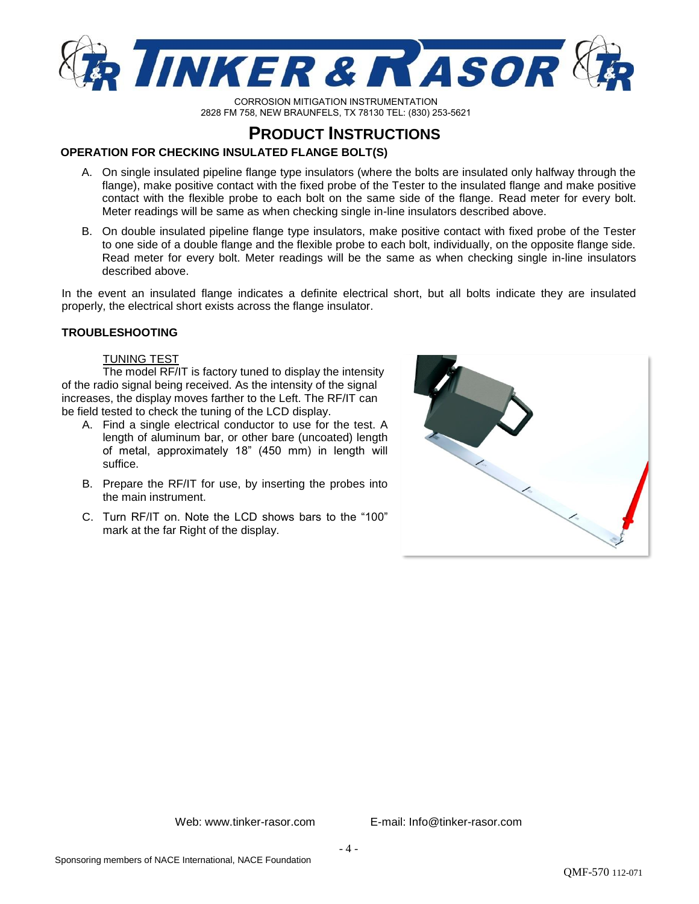

# **PRODUCT INSTRUCTIONS**

## **OPERATION FOR CHECKING INSULATED FLANGE BOLT(S)**

- A. On single insulated pipeline flange type insulators (where the bolts are insulated only halfway through the flange), make positive contact with the fixed probe of the Tester to the insulated flange and make positive contact with the flexible probe to each bolt on the same side of the flange. Read meter for every bolt. Meter readings will be same as when checking single in-line insulators described above.
- B. On double insulated pipeline flange type insulators, make positive contact with fixed probe of the Tester to one side of a double flange and the flexible probe to each bolt, individually, on the opposite flange side. Read meter for every bolt. Meter readings will be the same as when checking single in-line insulators described above.

In the event an insulated flange indicates a definite electrical short, but all bolts indicate they are insulated properly, the electrical short exists across the flange insulator.

## **TROUBLESHOOTING**

### TUNING TEST

The model RF/IT is factory tuned to display the intensity of the radio signal being received. As the intensity of the signal increases, the display moves farther to the Left. The RF/IT can be field tested to check the tuning of the LCD display.

- A. Find a single electrical conductor to use for the test. A length of aluminum bar, or other bare (uncoated) length of metal, approximately 18" (450 mm) in length will suffice.
- B. Prepare the RF/IT for use, by inserting the probes into the main instrument.
- C. Turn RF/IT on. Note the LCD shows bars to the "100" mark at the far Right of the display.